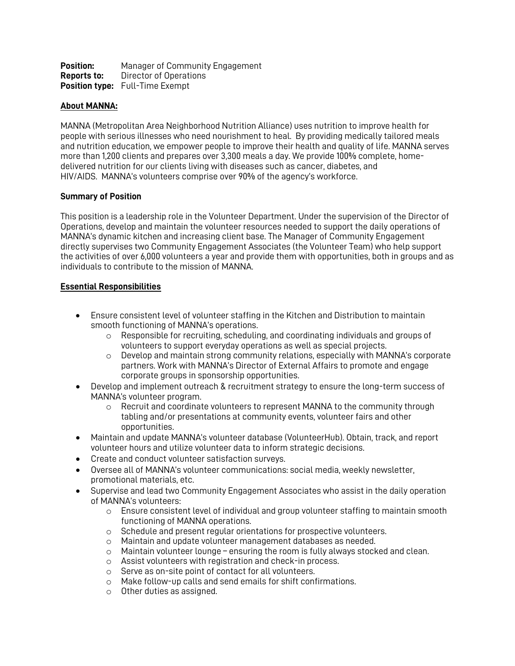| Position:          | Manager of Community Engagement        |
|--------------------|----------------------------------------|
| <b>Reports to:</b> | Director of Operations                 |
|                    | <b>Position type:</b> Full-Time Exempt |

## **About MANNA:**

MANNA (Metropolitan Area Neighborhood Nutrition Alliance) uses nutrition to improve health for people with serious illnesses who need nourishment to heal. By providing medically tailored meals and nutrition education, we empower people to improve their health and quality of life. MANNA serves more than 1,200 clients and prepares over 3,300 meals a day. We provide 100% complete, homedelivered nutrition for our clients living with diseases such as cancer, diabetes, and HIV/AIDS. MANNA's volunteers comprise over 90% of the agency's workforce.

## **Summary of Position**

This position is a leadership role in the Volunteer Department. Under the supervision of the Director of Operations, develop and maintain the volunteer resources needed to support the daily operations of MANNA's dynamic kitchen and increasing client base. The Manager of Community Engagement directly supervises two Community Engagement Associates (the Volunteer Team) who help support the activities of over 6,000 volunteers a year and provide them with opportunities, both in groups and as individuals to contribute to the mission of MANNA.

## **Essential Responsibilities**

- Ensure consistent level of volunteer staffing in the Kitchen and Distribution to maintain smooth functioning of MANNA's operations.
	- $\circ$  Responsible for recruiting, scheduling, and coordinating individuals and groups of volunteers to support everyday operations as well as special projects.
	- $\circ$  Develop and maintain strong community relations, especially with MANNA's corporate partners. Work with MANNA's Director of External Affairs to promote and engage corporate groups in sponsorship opportunities.
- Develop and implement outreach & recruitment strategy to ensure the long-term success of MANNA's volunteer program.
	- o Recruit and coordinate volunteers to represent MANNA to the community through tabling and/or presentations at community events, volunteer fairs and other opportunities.
- Maintain and update MANNA's volunteer database (VolunteerHub). Obtain, track, and report volunteer hours and utilize volunteer data to inform strategic decisions.
- Create and conduct volunteer satisfaction surveys.
- Oversee all of MANNA's volunteer communications: social media, weekly newsletter, promotional materials, etc.
- Supervise and lead two Community Engagement Associates who assist in the daily operation of MANNA's volunteers:
	- $\circ$  Ensure consistent level of individual and group volunteer staffing to maintain smooth functioning of MANNA operations.
	- o Schedule and present regular orientations for prospective volunteers.
	- o Maintain and update volunteer management databases as needed.
	- o Maintain volunteer lounge ensuring the room is fully always stocked and clean.
	- o Assist volunteers with registration and check-in process.<br>  $\circ$  Serve as on-site point of contact for all volunteers.
	- $\circ$  Serve as on-site point of contact for all volunteers.<br> $\circ$  Make follow-up calls and send emails for shift cont
	- Make follow-up calls and send emails for shift confirmations.
	- o Other duties as assigned.